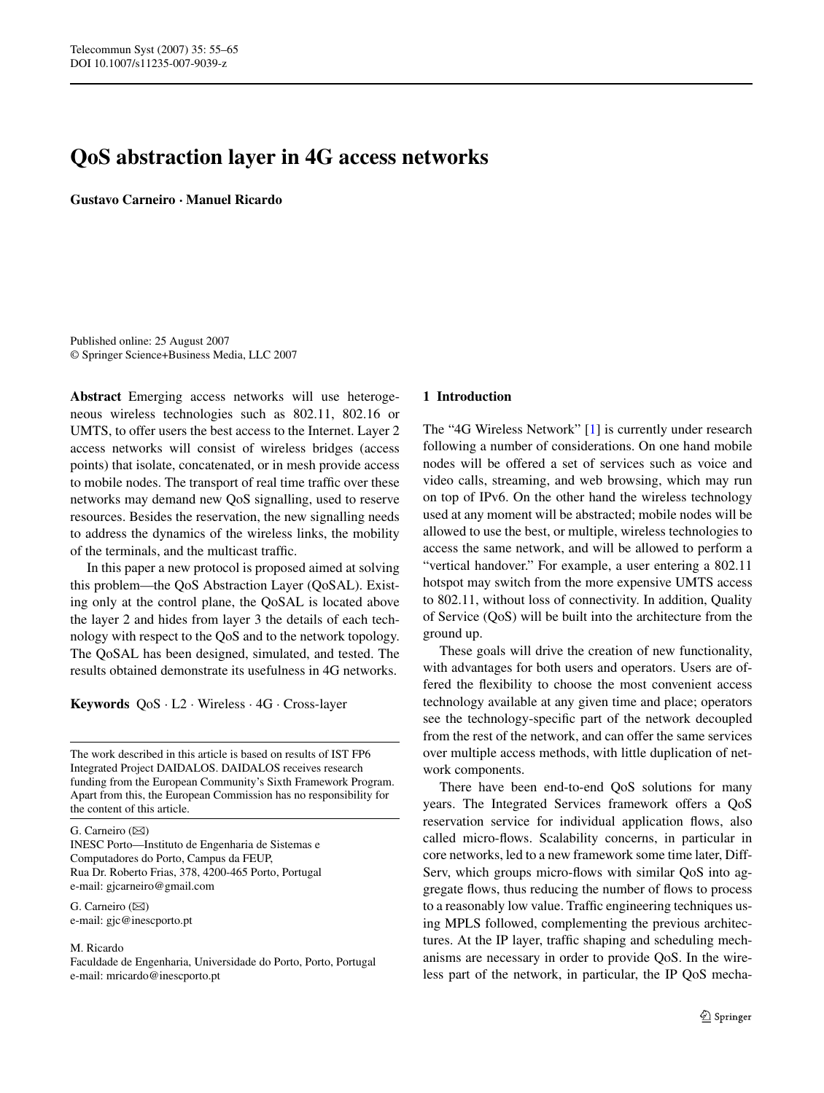# **QoS abstraction layer in 4G access networks**

**Gustavo Carneiro · Manuel Ricardo**

Published online: 25 August 2007 © Springer Science+Business Media, LLC 2007

**Abstract** Emerging access networks will use heterogeneous wireless technologies such as 802.11, 802.16 or UMTS, to offer users the best access to the Internet. Layer 2 access networks will consist of wireless bridges (access points) that isolate, concatenated, or in mesh provide access to mobile nodes. The transport of real time traffic over these networks may demand new QoS signalling, used to reserve resources. Besides the reservation, the new signalling needs to address the dynamics of the wireless links, the mobility of the terminals, and the multicast traffic.

In this paper a new protocol is proposed aimed at solving this problem—the QoS Abstraction Layer (QoSAL). Existing only at the control plane, the QoSAL is located above the layer 2 and hides from layer 3 the details of each technology with respect to the QoS and to the network topology. The QoSAL has been designed, simulated, and tested. The results obtained demonstrate its usefulness in 4G networks.

**Keywords** QoS · L2 · Wireless · 4G · Cross-layer

The work described in this article is based on results of IST FP6 Integrated Project DAIDALOS. DAIDALOS receives research funding from the European Community's Sixth Framework Program. Apart from this, the European Commission has no responsibility for the content of this article.

G. Carneiro  $(\boxtimes)$ 

INESC Porto—Instituto de Engenharia de Sistemas e Computadores do Porto, Campus da FEUP, Rua Dr. Roberto Frias, 378, 4200-465 Porto, Portugal e-mail: gjcarneiro@gmail.com

G. Carneiro  $(\boxtimes)$ e-mail: gjc@inescporto.pt

#### M. Ricardo

Faculdade de Engenharia, Universidade do Porto, Porto, Portugal e-mail: mricardo@inescporto.pt

### **1 Introduction**

The "4G Wireless Network" [\[1](#page-9-0)] is currently under research following a number of considerations. On one hand mobile nodes will be offered a set of services such as voice and video calls, streaming, and web browsing, which may run on top of IPv6. On the other hand the wireless technology used at any moment will be abstracted; mobile nodes will be allowed to use the best, or multiple, wireless technologies to access the same network, and will be allowed to perform a "vertical handover." For example, a user entering a 802.11 hotspot may switch from the more expensive UMTS access to 802.11, without loss of connectivity. In addition, Quality of Service (QoS) will be built into the architecture from the ground up.

These goals will drive the creation of new functionality, with advantages for both users and operators. Users are offered the flexibility to choose the most convenient access technology available at any given time and place; operators see the technology-specific part of the network decoupled from the rest of the network, and can offer the same services over multiple access methods, with little duplication of network components.

There have been end-to-end QoS solutions for many years. The Integrated Services framework offers a QoS reservation service for individual application flows, also called micro-flows. Scalability concerns, in particular in core networks, led to a new framework some time later, Diff-Serv, which groups micro-flows with similar QoS into aggregate flows, thus reducing the number of flows to process to a reasonably low value. Traffic engineering techniques using MPLS followed, complementing the previous architectures. At the IP layer, traffic shaping and scheduling mechanisms are necessary in order to provide QoS. In the wireless part of the network, in particular, the IP QoS mecha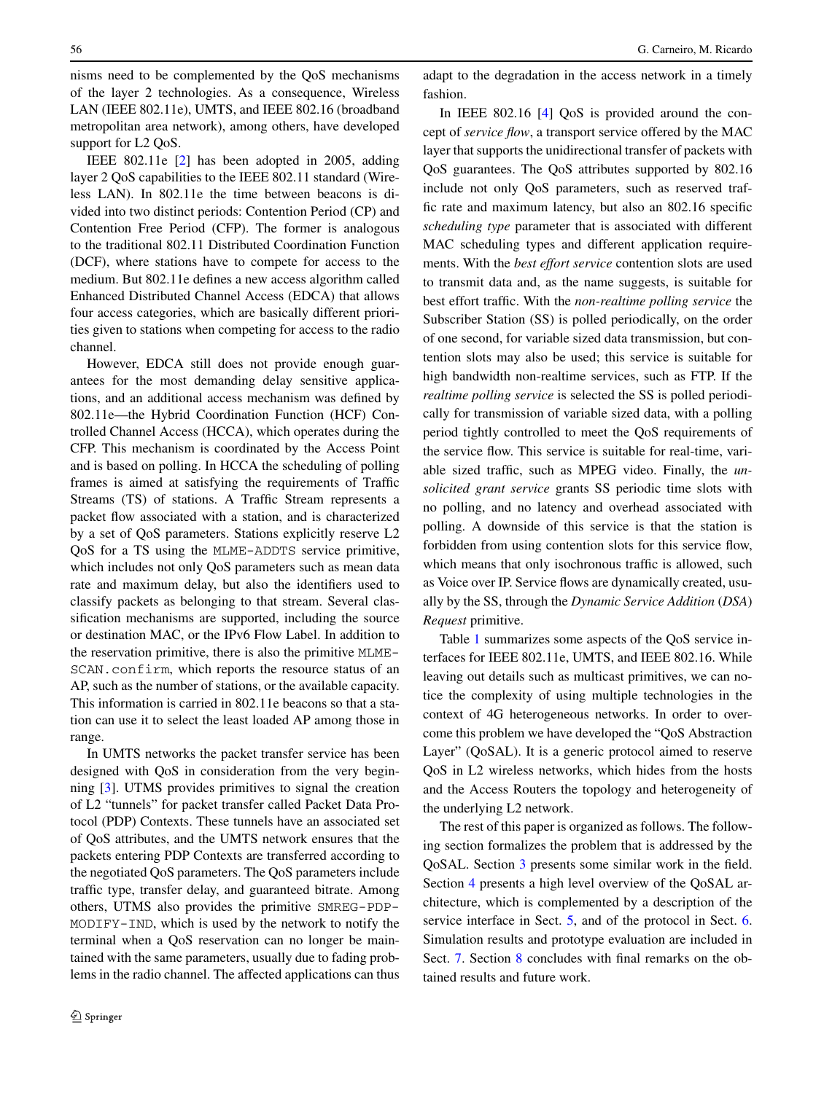nisms need to be complemented by the QoS mechanisms of the layer 2 technologies. As a consequence, Wireless LAN (IEEE 802.11e), UMTS, and IEEE 802.16 (broadband metropolitan area network), among others, have developed support for L2 QoS.

IEEE 802.11e [[2\]](#page-9-0) has been adopted in 2005, adding layer 2 QoS capabilities to the IEEE 802.11 standard (Wireless LAN). In 802.11e the time between beacons is divided into two distinct periods: Contention Period (CP) and Contention Free Period (CFP). The former is analogous to the traditional 802.11 Distributed Coordination Function (DCF), where stations have to compete for access to the medium. But 802.11e defines a new access algorithm called Enhanced Distributed Channel Access (EDCA) that allows four access categories, which are basically different priorities given to stations when competing for access to the radio channel.

However, EDCA still does not provide enough guarantees for the most demanding delay sensitive applications, and an additional access mechanism was defined by 802.11e—the Hybrid Coordination Function (HCF) Controlled Channel Access (HCCA), which operates during the CFP. This mechanism is coordinated by the Access Point and is based on polling. In HCCA the scheduling of polling frames is aimed at satisfying the requirements of Traffic Streams (TS) of stations. A Traffic Stream represents a packet flow associated with a station, and is characterized by a set of QoS parameters. Stations explicitly reserve L2 QoS for a TS using the MLME-ADDTS service primitive, which includes not only QoS parameters such as mean data rate and maximum delay, but also the identifiers used to classify packets as belonging to that stream. Several classification mechanisms are supported, including the source or destination MAC, or the IPv6 Flow Label. In addition to the reservation primitive, there is also the primitive MLME-SCAN.confirm, which reports the resource status of an AP, such as the number of stations, or the available capacity. This information is carried in 802.11e beacons so that a station can use it to select the least loaded AP among those in range.

In UMTS networks the packet transfer service has been designed with QoS in consideration from the very beginning [\[3](#page-9-0)]. UTMS provides primitives to signal the creation of L2 "tunnels" for packet transfer called Packet Data Protocol (PDP) Contexts. These tunnels have an associated set of QoS attributes, and the UMTS network ensures that the packets entering PDP Contexts are transferred according to the negotiated QoS parameters. The QoS parameters include traffic type, transfer delay, and guaranteed bitrate. Among others, UTMS also provides the primitive SMREG-PDP-MODIFY-IND, which is used by the network to notify the terminal when a QoS reservation can no longer be maintained with the same parameters, usually due to fading problems in the radio channel. The affected applications can thus

adapt to the degradation in the access network in a timely fashion.

In IEEE 802.16 [[4\]](#page-9-0) QoS is provided around the concept of *service flow*, a transport service offered by the MAC layer that supports the unidirectional transfer of packets with QoS guarantees. The QoS attributes supported by 802.16 include not only QoS parameters, such as reserved traffic rate and maximum latency, but also an 802.16 specific *scheduling type* parameter that is associated with different MAC scheduling types and different application requirements. With the *best effort service* contention slots are used to transmit data and, as the name suggests, is suitable for best effort traffic. With the *non-realtime polling service* the Subscriber Station (SS) is polled periodically, on the order of one second, for variable sized data transmission, but contention slots may also be used; this service is suitable for high bandwidth non-realtime services, such as FTP. If the *realtime polling service* is selected the SS is polled periodically for transmission of variable sized data, with a polling period tightly controlled to meet the QoS requirements of the service flow. This service is suitable for real-time, variable sized traffic, such as MPEG video. Finally, the *unsolicited grant service* grants SS periodic time slots with no polling, and no latency and overhead associated with polling. A downside of this service is that the station is forbidden from using contention slots for this service flow, which means that only isochronous traffic is allowed, such as Voice over IP. Service flows are dynamically created, usually by the SS, through the *Dynamic Service Addition* (*DSA*) *Request* primitive.

Table [1](#page-2-0) summarizes some aspects of the QoS service interfaces for IEEE 802.11e, UMTS, and IEEE 802.16. While leaving out details such as multicast primitives, we can notice the complexity of using multiple technologies in the context of 4G heterogeneous networks. In order to overcome this problem we have developed the "QoS Abstraction Layer" (QoSAL). It is a generic protocol aimed to reserve QoS in L2 wireless networks, which hides from the hosts and the Access Routers the topology and heterogeneity of the underlying L2 network.

The rest of this paper is organized as follows. The following section formalizes the problem that is addressed by the QoSAL. Section [3](#page-2-0) presents some similar work in the field. Section [4](#page-3-0) presents a high level overview of the QoSAL architecture, which is complemented by a description of the service interface in Sect. [5,](#page-3-0) and of the protocol in Sect. [6](#page-6-0). Simulation results and prototype evaluation are included in Sect. [7.](#page-7-0) Section [8](#page-8-0) concludes with final remarks on the obtained results and future work.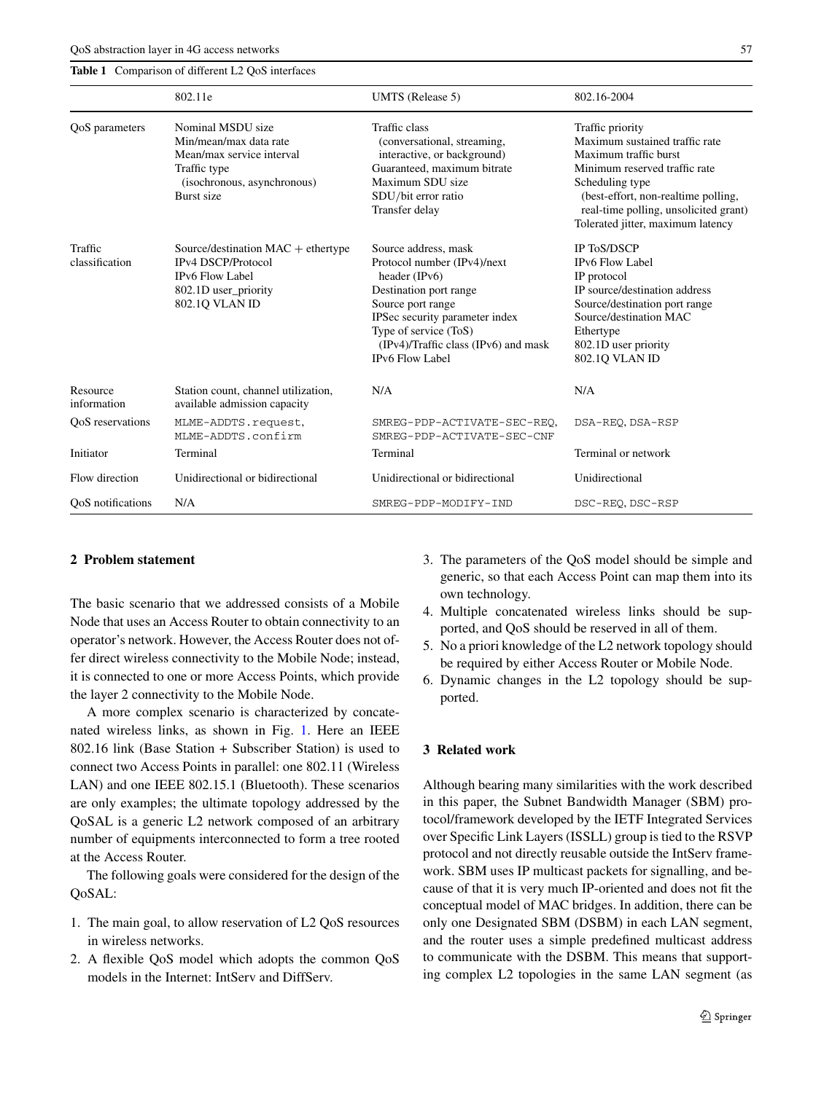<span id="page-2-0"></span>**Table 1** Comparison of different L2 QoS interfaces

| 802.16-2004 |  |
|-------------|--|

|                           | 802.11e                                                                                                                               | UMTS (Release 5)                                                                                                                                                                                                                                 | 802.16-2004                                                                                                                                                                                                                                          |  |
|---------------------------|---------------------------------------------------------------------------------------------------------------------------------------|--------------------------------------------------------------------------------------------------------------------------------------------------------------------------------------------------------------------------------------------------|------------------------------------------------------------------------------------------------------------------------------------------------------------------------------------------------------------------------------------------------------|--|
| OoS parameters            | Nominal MSDU size<br>Min/mean/max data rate<br>Mean/max service interval<br>Traffic type<br>(isochronous, asynchronous)<br>Burst size | Traffic class<br>(conversational, streaming,<br>interactive, or background)<br>Guaranteed, maximum bitrate<br>Maximum SDU size<br>SDU/bit error ratio<br>Transfer delay                                                                          | Traffic priority<br>Maximum sustained traffic rate<br>Maximum traffic burst<br>Minimum reserved traffic rate<br>Scheduling type<br>(best-effort, non-realtime polling,<br>real-time polling, unsolicited grant)<br>Tolerated jitter, maximum latency |  |
| Traffic<br>classification | Source/destination $MAC +$ ethertype<br><b>IPv4 DSCP/Protocol</b><br><b>IPv6 Flow Label</b><br>802.1D user_priority<br>802.1Q VLAN ID | Source address, mask<br>Protocol number (IPv4)/next<br>header (IPv6)<br>Destination port range<br>Source port range<br>IPSec security parameter index<br>Type of service (ToS)<br>(IPv4)/Traffic class (IPv6) and mask<br><b>IPv6 Flow Label</b> | IP ToS/DSCP<br><b>IPv6 Flow Label</b><br>IP protocol<br>IP source/destination address<br>Source/destination port range<br>Source/destination MAC<br>Ethertype<br>802.1D user priority<br>802.10 VLAN ID                                              |  |
| Resource<br>information   | Station count, channel utilization,<br>available admission capacity                                                                   | N/A                                                                                                                                                                                                                                              | N/A                                                                                                                                                                                                                                                  |  |
| OoS reservations          | MLME-ADDTS.request,<br>MLME-ADDTS.confirm                                                                                             | SMREG-PDP-ACTIVATE-SEC-REO,<br>SMREG-PDP-ACTIVATE-SEC-CNF                                                                                                                                                                                        | DSA-REO, DSA-RSP                                                                                                                                                                                                                                     |  |
| Initiator                 | Terminal                                                                                                                              | Terminal                                                                                                                                                                                                                                         | Terminal or network                                                                                                                                                                                                                                  |  |
| Flow direction            | Unidirectional or bidirectional                                                                                                       | Unidirectional or bidirectional                                                                                                                                                                                                                  | Unidirectional                                                                                                                                                                                                                                       |  |
| OoS notifications         | N/A                                                                                                                                   | SMREG-PDP-MODIFY-IND                                                                                                                                                                                                                             | DSC-REQ, DSC-RSP                                                                                                                                                                                                                                     |  |

# **2 Problem statement**

The basic scenario that we addressed consists of a Mobile Node that uses an Access Router to obtain connectivity to an operator's network. However, the Access Router does not offer direct wireless connectivity to the Mobile Node; instead, it is connected to one or more Access Points, which provide the layer 2 connectivity to the Mobile Node.

A more complex scenario is characterized by concatenated wireless links, as shown in Fig. [1](#page-3-0). Here an IEEE 802.16 link (Base Station + Subscriber Station) is used to connect two Access Points in parallel: one 802.11 (Wireless LAN) and one IEEE 802.15.1 (Bluetooth). These scenarios are only examples; the ultimate topology addressed by the QoSAL is a generic L2 network composed of an arbitrary number of equipments interconnected to form a tree rooted at the Access Router.

The following goals were considered for the design of the QoSAL:

- 1. The main goal, to allow reservation of L2 QoS resources in wireless networks.
- 2. A flexible QoS model which adopts the common QoS models in the Internet: IntServ and DiffServ.
- 3. The parameters of the QoS model should be simple and generic, so that each Access Point can map them into its own technology.
- 4. Multiple concatenated wireless links should be supported, and QoS should be reserved in all of them.
- 5. No a priori knowledge of the L2 network topology should be required by either Access Router or Mobile Node.
- 6. Dynamic changes in the L2 topology should be supported.

#### **3 Related work**

Although bearing many similarities with the work described in this paper, the Subnet Bandwidth Manager (SBM) protocol/framework developed by the IETF Integrated Services over Specific Link Layers (ISSLL) group is tied to the RSVP protocol and not directly reusable outside the IntServ framework. SBM uses IP multicast packets for signalling, and because of that it is very much IP-oriented and does not fit the conceptual model of MAC bridges. In addition, there can be only one Designated SBM (DSBM) in each LAN segment, and the router uses a simple predefined multicast address to communicate with the DSBM. This means that supporting complex L2 topologies in the same LAN segment (as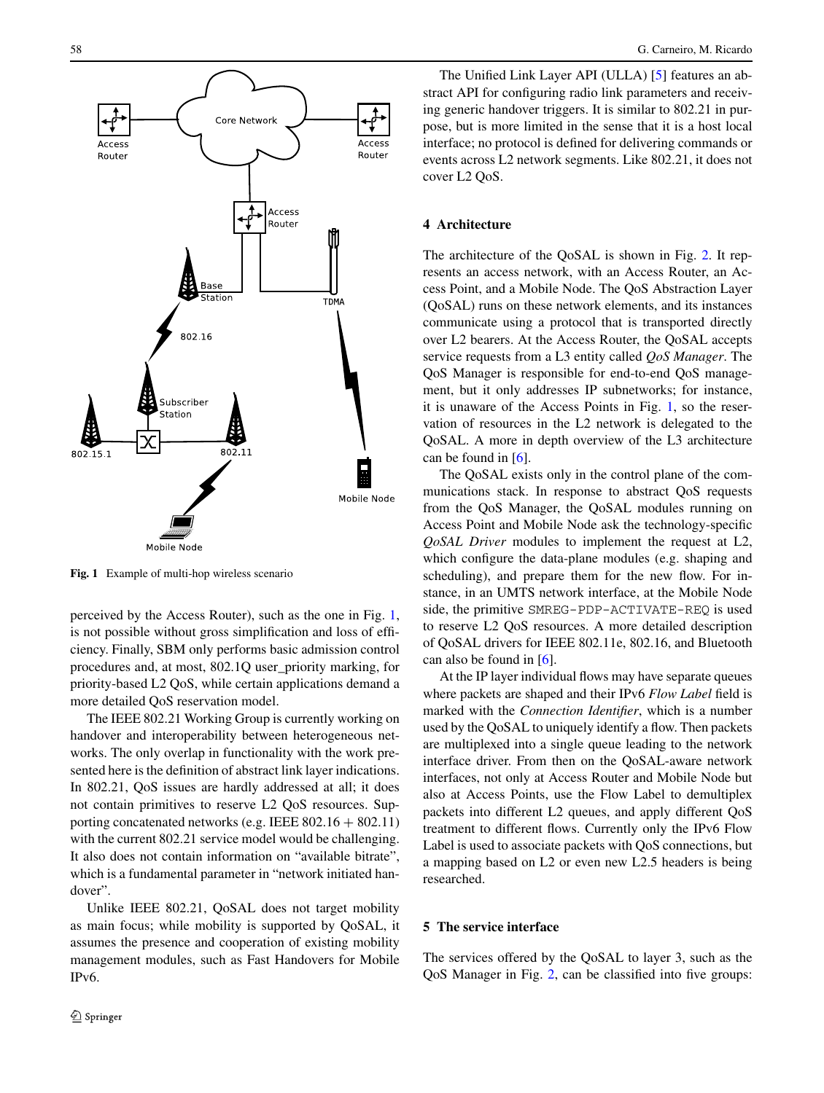<span id="page-3-0"></span>

**Fig. 1** Example of multi-hop wireless scenario

perceived by the Access Router), such as the one in Fig. 1, is not possible without gross simplification and loss of efficiency. Finally, SBM only performs basic admission control procedures and, at most, 802.1Q user\_priority marking, for priority-based L2 QoS, while certain applications demand a more detailed QoS reservation model.

The IEEE 802.21 Working Group is currently working on handover and interoperability between heterogeneous networks. The only overlap in functionality with the work presented here is the definition of abstract link layer indications. In 802.21, QoS issues are hardly addressed at all; it does not contain primitives to reserve L2 QoS resources. Supporting concatenated networks (e.g. IEEE  $802.16 + 802.11$ ) with the current 802.21 service model would be challenging. It also does not contain information on "available bitrate", which is a fundamental parameter in "network initiated handover".

Unlike IEEE 802.21, QoSAL does not target mobility as main focus; while mobility is supported by QoSAL, it assumes the presence and cooperation of existing mobility management modules, such as Fast Handovers for Mobile IPv6.

The Unified Link Layer API (ULLA) [[5\]](#page-9-0) features an abstract API for configuring radio link parameters and receiving generic handover triggers. It is similar to 802.21 in purpose, but is more limited in the sense that it is a host local interface; no protocol is defined for delivering commands or events across L2 network segments. Like 802.21, it does not cover L2 QoS.

# **4 Architecture**

The architecture of the QoSAL is shown in Fig. [2](#page-4-0). It represents an access network, with an Access Router, an Access Point, and a Mobile Node. The QoS Abstraction Layer (QoSAL) runs on these network elements, and its instances communicate using a protocol that is transported directly over L2 bearers. At the Access Router, the QoSAL accepts service requests from a L3 entity called *QoS Manager*. The QoS Manager is responsible for end-to-end QoS management, but it only addresses IP subnetworks; for instance, it is unaware of the Access Points in Fig. 1, so the reservation of resources in the L2 network is delegated to the QoSAL. A more in depth overview of the L3 architecture can be found in [\[6](#page-9-0)].

The QoSAL exists only in the control plane of the communications stack. In response to abstract QoS requests from the QoS Manager, the QoSAL modules running on Access Point and Mobile Node ask the technology-specific *QoSAL Driver* modules to implement the request at L2, which configure the data-plane modules (e.g. shaping and scheduling), and prepare them for the new flow. For instance, in an UMTS network interface, at the Mobile Node side, the primitive SMREG-PDP-ACTIVATE-REQ is used to reserve L2 QoS resources. A more detailed description of QoSAL drivers for IEEE 802.11e, 802.16, and Bluetooth can also be found in [[6\]](#page-9-0).

At the IP layer individual flows may have separate queues where packets are shaped and their IPv6 *Flow Label* field is marked with the *Connection Identifier*, which is a number used by the QoSAL to uniquely identify a flow. Then packets are multiplexed into a single queue leading to the network interface driver. From then on the QoSAL-aware network interfaces, not only at Access Router and Mobile Node but also at Access Points, use the Flow Label to demultiplex packets into different L2 queues, and apply different QoS treatment to different flows. Currently only the IPv6 Flow Label is used to associate packets with QoS connections, but a mapping based on L2 or even new L2.5 headers is being researched.

# **5 The service interface**

The services offered by the QoSAL to layer 3, such as the QoS Manager in Fig. [2,](#page-4-0) can be classified into five groups: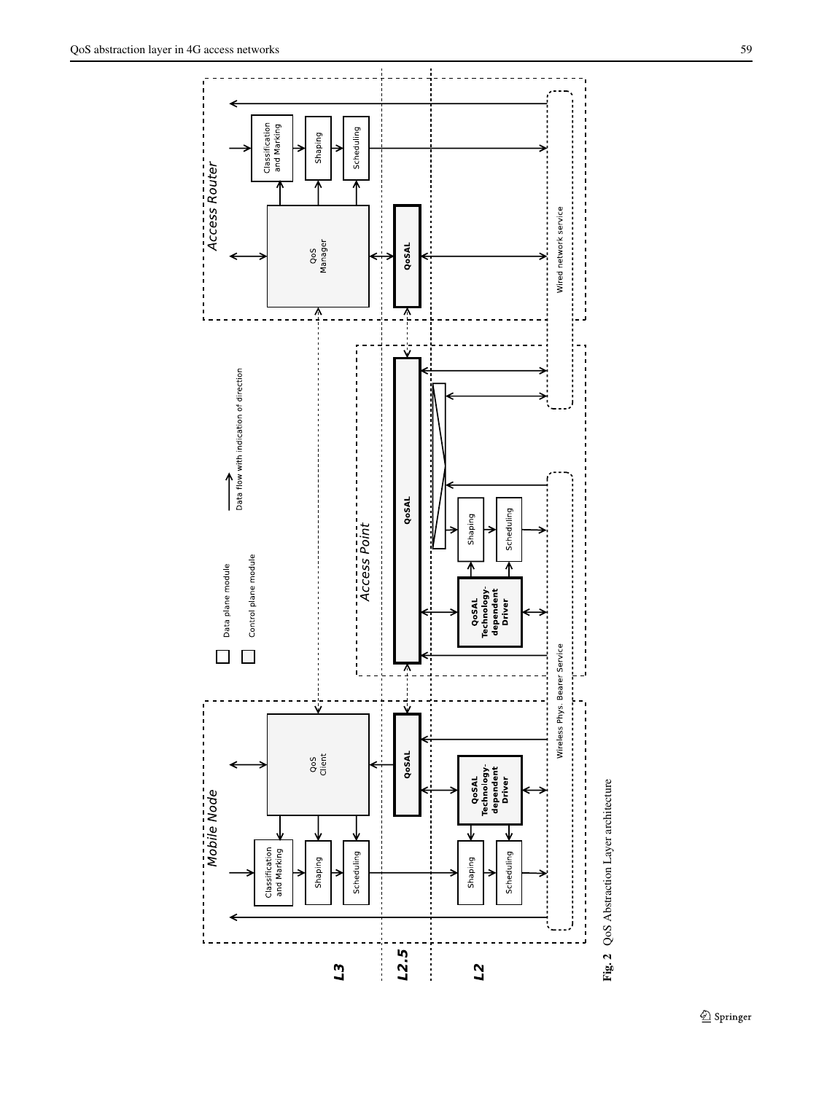<span id="page-4-0"></span>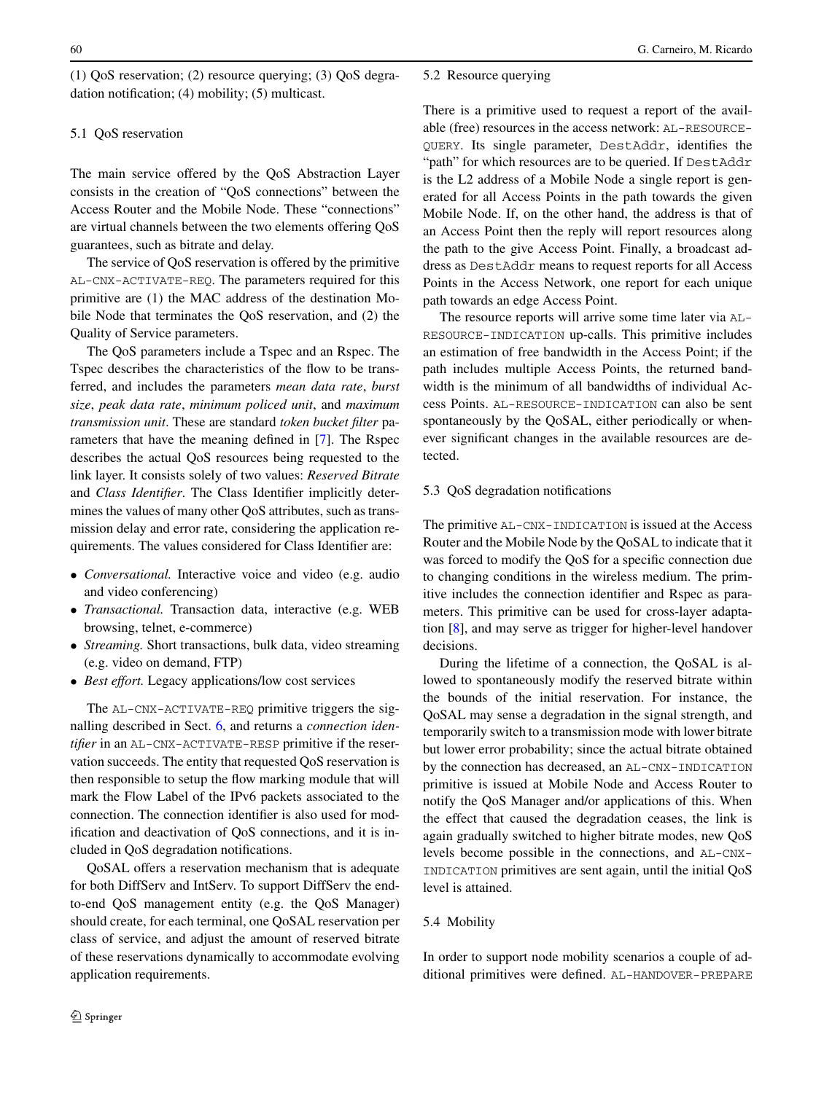<span id="page-5-0"></span>(1) QoS reservation; (2) resource querying; (3) QoS degradation notification; (4) mobility; (5) multicast.

# 5.1 QoS reservation

The main service offered by the QoS Abstraction Layer consists in the creation of "QoS connections" between the Access Router and the Mobile Node. These "connections" are virtual channels between the two elements offering QoS guarantees, such as bitrate and delay.

The service of QoS reservation is offered by the primitive AL-CNX-ACTIVATE-REQ. The parameters required for this primitive are (1) the MAC address of the destination Mobile Node that terminates the QoS reservation, and (2) the Quality of Service parameters.

The QoS parameters include a Tspec and an Rspec. The Tspec describes the characteristics of the flow to be transferred, and includes the parameters *mean data rate*, *burst size*, *peak data rate*, *minimum policed unit*, and *maximum transmission unit*. These are standard *token bucket filter* parameters that have the meaning defined in [[7\]](#page-10-0). The Rspec describes the actual QoS resources being requested to the link layer. It consists solely of two values: *Reserved Bitrate* and *Class Identifier*. The Class Identifier implicitly determines the values of many other QoS attributes, such as transmission delay and error rate, considering the application requirements. The values considered for Class Identifier are:

- *Conversational.* Interactive voice and video (e.g. audio and video conferencing)
- *Transactional.* Transaction data, interactive (e.g. WEB browsing, telnet, e-commerce)
- *Streaming.* Short transactions, bulk data, video streaming (e.g. video on demand, FTP)
- *Best effort.* Legacy applications/low cost services

The AL-CNX-ACTIVATE-REQ primitive triggers the signalling described in Sect. [6,](#page-6-0) and returns a *connection identifier* in an AL-CNX-ACTIVATE-RESP primitive if the reservation succeeds. The entity that requested QoS reservation is then responsible to setup the flow marking module that will mark the Flow Label of the IPv6 packets associated to the connection. The connection identifier is also used for modification and deactivation of QoS connections, and it is included in QoS degradation notifications.

QoSAL offers a reservation mechanism that is adequate for both DiffServ and IntServ. To support DiffServ the endto-end QoS management entity (e.g. the QoS Manager) should create, for each terminal, one QoSAL reservation per class of service, and adjust the amount of reserved bitrate of these reservations dynamically to accommodate evolving application requirements.

## 5.2 Resource querying

There is a primitive used to request a report of the available (free) resources in the access network: AL-RESOURCE-QUERY. Its single parameter, DestAddr, identifies the "path" for which resources are to be queried. If DestAddr is the L2 address of a Mobile Node a single report is generated for all Access Points in the path towards the given Mobile Node. If, on the other hand, the address is that of an Access Point then the reply will report resources along the path to the give Access Point. Finally, a broadcast address as DestAddr means to request reports for all Access Points in the Access Network, one report for each unique path towards an edge Access Point.

The resource reports will arrive some time later via AL-RESOURCE-INDICATION up-calls. This primitive includes an estimation of free bandwidth in the Access Point; if the path includes multiple Access Points, the returned bandwidth is the minimum of all bandwidths of individual Access Points. AL-RESOURCE-INDICATION can also be sent spontaneously by the QoSAL, either periodically or whenever significant changes in the available resources are detected.

## 5.3 QoS degradation notifications

The primitive AL-CNX-INDICATION is issued at the Access Router and the Mobile Node by the QoSAL to indicate that it was forced to modify the QoS for a specific connection due to changing conditions in the wireless medium. The primitive includes the connection identifier and Rspec as parameters. This primitive can be used for cross-layer adaptation [\[8](#page-10-0)], and may serve as trigger for higher-level handover decisions.

During the lifetime of a connection, the QoSAL is allowed to spontaneously modify the reserved bitrate within the bounds of the initial reservation. For instance, the QoSAL may sense a degradation in the signal strength, and temporarily switch to a transmission mode with lower bitrate but lower error probability; since the actual bitrate obtained by the connection has decreased, an AL-CNX-INDICATION primitive is issued at Mobile Node and Access Router to notify the QoS Manager and/or applications of this. When the effect that caused the degradation ceases, the link is again gradually switched to higher bitrate modes, new QoS levels become possible in the connections, and AL-CNX-INDICATION primitives are sent again, until the initial QoS level is attained.

# 5.4 Mobility

In order to support node mobility scenarios a couple of additional primitives were defined. AL-HANDOVER-PREPARE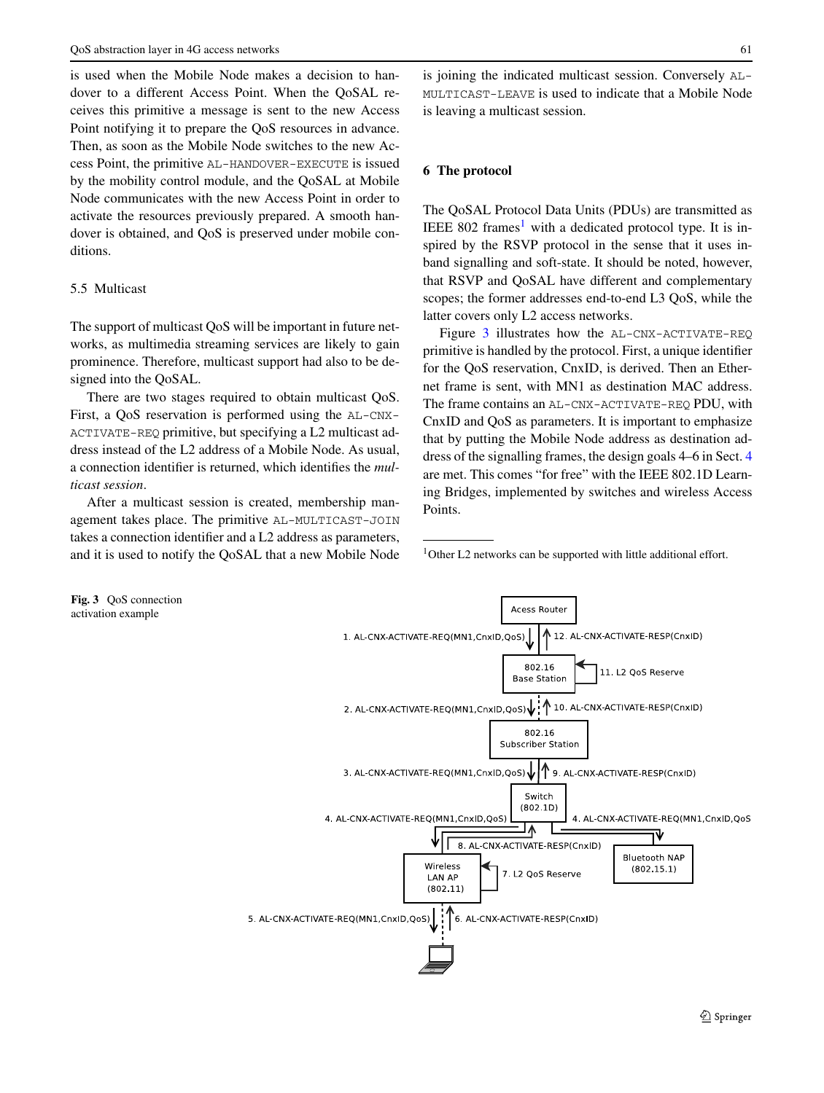<span id="page-6-0"></span>is used when the Mobile Node makes a decision to handover to a different Access Point. When the QoSAL receives this primitive a message is sent to the new Access Point notifying it to prepare the QoS resources in advance. Then, as soon as the Mobile Node switches to the new Access Point, the primitive AL-HANDOVER-EXECUTE is issued by the mobility control module, and the QoSAL at Mobile Node communicates with the new Access Point in order to activate the resources previously prepared. A smooth handover is obtained, and QoS is preserved under mobile conditions.

# 5.5 Multicast

The support of multicast QoS will be important in future networks, as multimedia streaming services are likely to gain prominence. Therefore, multicast support had also to be designed into the QoSAL.

There are two stages required to obtain multicast QoS. First, a QoS reservation is performed using the AL-CNX-ACTIVATE-REQ primitive, but specifying a L2 multicast address instead of the L2 address of a Mobile Node. As usual, a connection identifier is returned, which identifies the *multicast session*.

After a multicast session is created, membership management takes place. The primitive AL-MULTICAST-JOIN takes a connection identifier and a L2 address as parameters, and it is used to notify the QoSAL that a new Mobile Node is joining the indicated multicast session. Conversely AL-MULTICAST-LEAVE is used to indicate that a Mobile Node is leaving a multicast session.

## **6 The protocol**

The QoSAL Protocol Data Units (PDUs) are transmitted as IEEE 802 frames<sup>1</sup> with a dedicated protocol type. It is inspired by the RSVP protocol in the sense that it uses inband signalling and soft-state. It should be noted, however, that RSVP and QoSAL have different and complementary scopes; the former addresses end-to-end L3 QoS, while the latter covers only L2 access networks.

Figure 3 illustrates how the AL-CNX-ACTIVATE-REQ primitive is handled by the protocol. First, a unique identifier for the QoS reservation, CnxID, is derived. Then an Ethernet frame is sent, with MN1 as destination MAC address. The frame contains an AL-CNX-ACTIVATE-REQ PDU, with CnxID and QoS as parameters. It is important to emphasize that by putting the Mobile Node address as destination address of the signalling frames, the design goals 4–6 in Sect. [4](#page-3-0) are met. This comes "for free" with the IEEE 802.1D Learning Bridges, implemented by switches and wireless Access Points.

<sup>1</sup>Other L2 networks can be supported with little additional effort.

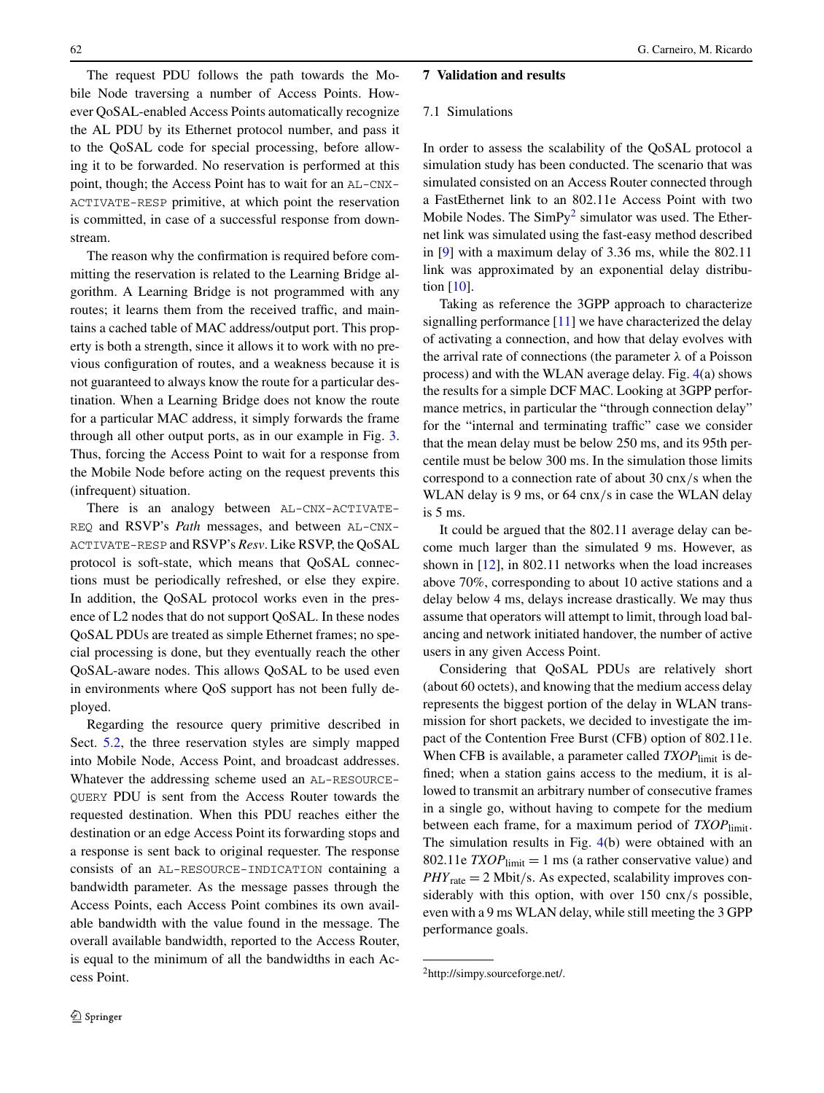<span id="page-7-0"></span>The request PDU follows the path towards the Mobile Node traversing a number of Access Points. However QoSAL-enabled Access Points automatically recognize the AL PDU by its Ethernet protocol number, and pass it to the QoSAL code for special processing, before allowing it to be forwarded. No reservation is performed at this point, though; the Access Point has to wait for an AL-CNX-ACTIVATE-RESP primitive, at which point the reservation is committed, in case of a successful response from downstream.

The reason why the confirmation is required before committing the reservation is related to the Learning Bridge algorithm. A Learning Bridge is not programmed with any routes; it learns them from the received traffic, and maintains a cached table of MAC address/output port. This property is both a strength, since it allows it to work with no previous configuration of routes, and a weakness because it is not guaranteed to always know the route for a particular destination. When a Learning Bridge does not know the route for a particular MAC address, it simply forwards the frame through all other output ports, as in our example in Fig. [3](#page-6-0). Thus, forcing the Access Point to wait for a response from the Mobile Node before acting on the request prevents this (infrequent) situation.

There is an analogy between AL-CNX-ACTIVATE-REQ and RSVP's *Path* messages, and between AL-CNX-ACTIVATE-RESP and RSVP's *Resv*. Like RSVP, the QoSAL protocol is soft-state, which means that QoSAL connections must be periodically refreshed, or else they expire. In addition, the QoSAL protocol works even in the presence of L2 nodes that do not support QoSAL. In these nodes QoSAL PDUs are treated as simple Ethernet frames; no special processing is done, but they eventually reach the other QoSAL-aware nodes. This allows QoSAL to be used even in environments where QoS support has not been fully deployed.

Regarding the resource query primitive described in Sect. [5.2](#page-5-0), the three reservation styles are simply mapped into Mobile Node, Access Point, and broadcast addresses. Whatever the addressing scheme used an AL-RESOURCE-QUERY PDU is sent from the Access Router towards the requested destination. When this PDU reaches either the destination or an edge Access Point its forwarding stops and a response is sent back to original requester. The response consists of an AL-RESOURCE-INDICATION containing a bandwidth parameter. As the message passes through the Access Points, each Access Point combines its own available bandwidth with the value found in the message. The overall available bandwidth, reported to the Access Router, is equal to the minimum of all the bandwidths in each Access Point.

# **7 Validation and results**

## 7.1 Simulations

In order to assess the scalability of the QoSAL protocol a simulation study has been conducted. The scenario that was simulated consisted on an Access Router connected through a FastEthernet link to an 802.11e Access Point with two Mobile Nodes. The  $SimPy<sup>2</sup>$  simulator was used. The Ethernet link was simulated using the fast-easy method described in [[9\]](#page-10-0) with a maximum delay of 3.36 ms, while the 802.11 link was approximated by an exponential delay distribution [\[10](#page-10-0)].

Taking as reference the 3GPP approach to characterize signalling performance [\[11](#page-10-0)] we have characterized the delay of activating a connection, and how that delay evolves with the arrival rate of connections (the parameter *λ* of a Poisson process) and with the WLAN average delay. Fig. [4](#page-8-0)(a) shows the results for a simple DCF MAC. Looking at 3GPP performance metrics, in particular the "through connection delay" for the "internal and terminating traffic" case we consider that the mean delay must be below 250 ms, and its 95th percentile must be below 300 ms. In the simulation those limits correspond to a connection rate of about 30 cnx*/*s when the WLAN delay is 9 ms, or 64 cnx*/*s in case the WLAN delay is 5 ms.

It could be argued that the 802.11 average delay can become much larger than the simulated 9 ms. However, as shown in [[12\]](#page-10-0), in 802.11 networks when the load increases above 70%, corresponding to about 10 active stations and a delay below 4 ms, delays increase drastically. We may thus assume that operators will attempt to limit, through load balancing and network initiated handover, the number of active users in any given Access Point.

Considering that QoSAL PDUs are relatively short (about 60 octets), and knowing that the medium access delay represents the biggest portion of the delay in WLAN transmission for short packets, we decided to investigate the impact of the Contention Free Burst (CFB) option of 802.11e. When CFB is available, a parameter called *TXOP* limit is defined; when a station gains access to the medium, it is allowed to transmit an arbitrary number of consecutive frames in a single go, without having to compete for the medium between each frame, for a maximum period of *TXOP* limit. The simulation results in Fig. [4\(](#page-8-0)b) were obtained with an 802.11e  $TXOP$ <sub>limit</sub> = 1 ms (a rather conservative value) and *PHY*rate = 2 Mbit*/*s. As expected, scalability improves considerably with this option, with over 150 cnx*/*s possible, even with a 9 ms WLAN delay, while still meeting the 3 GPP performance goals.

<sup>2</sup>http://simpy.sourceforge.net/.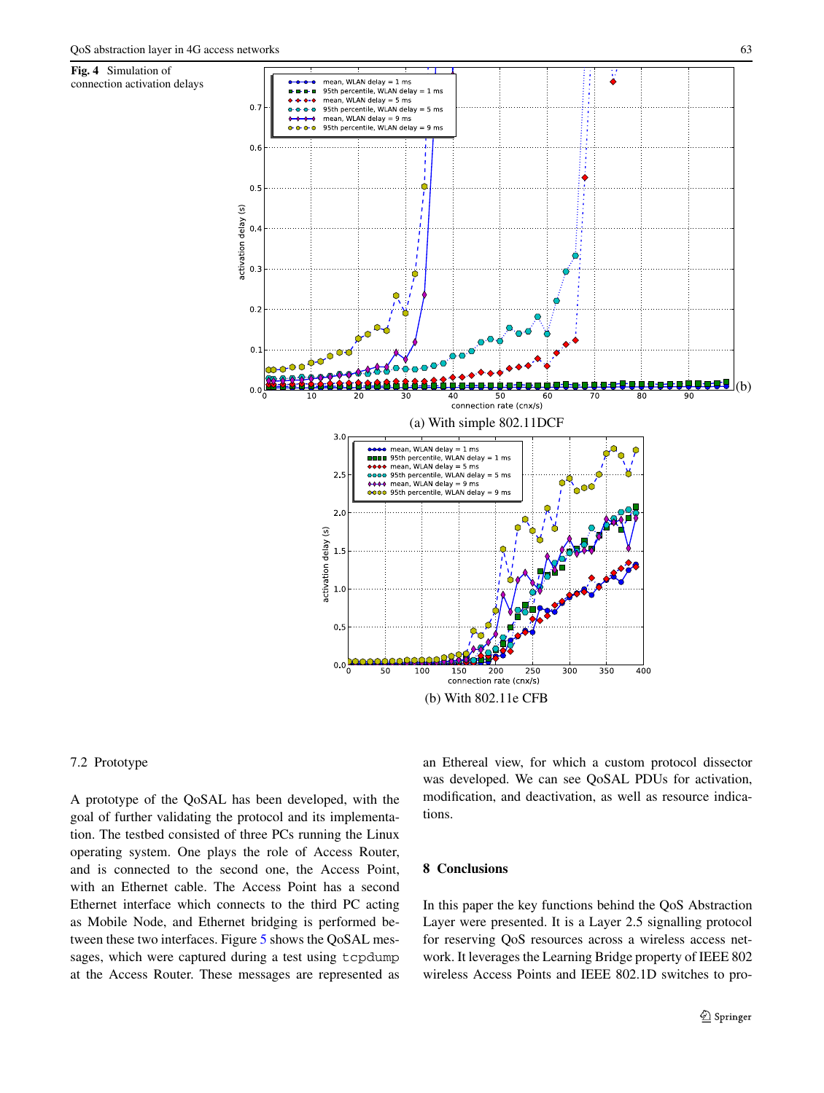**Fig. 4** Simulation of

<span id="page-8-0"></span>

## 7.2 Prototype

A prototype of the QoSAL has been developed, with the goal of further validating the protocol and its implementation. The testbed consisted of three PCs running the Linux operating system. One plays the role of Access Router, and is connected to the second one, the Access Point, with an Ethernet cable. The Access Point has a second Ethernet interface which connects to the third PC acting as Mobile Node, and Ethernet bridging is performed between these two interfaces. Figure [5](#page-9-0) shows the QoSAL messages, which were captured during a test using tcpdump at the Access Router. These messages are represented as an Ethereal view, for which a custom protocol dissector was developed. We can see QoSAL PDUs for activation, modification, and deactivation, as well as resource indications.

# **8 Conclusions**

In this paper the key functions behind the QoS Abstraction Layer were presented. It is a Layer 2.5 signalling protocol for reserving QoS resources across a wireless access network. It leverages the Learning Bridge property of IEEE 802 wireless Access Points and IEEE 802.1D switches to pro-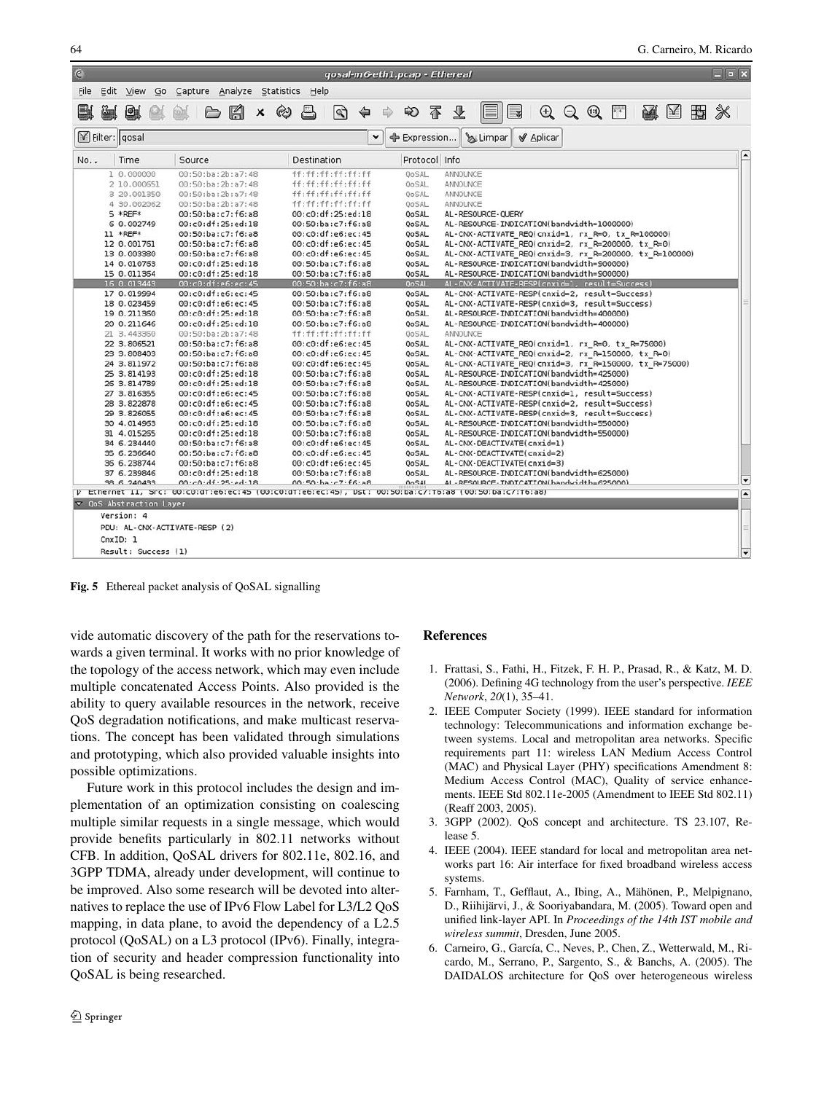<span id="page-9-0"></span>

| $\epsilon$    |                                       |                                              |                                                                  | qosal-m6-eth1.pcap - Ethereal | $\Box$                                                                                                                                                                                                                                                                                       |                          |
|---------------|---------------------------------------|----------------------------------------------|------------------------------------------------------------------|-------------------------------|----------------------------------------------------------------------------------------------------------------------------------------------------------------------------------------------------------------------------------------------------------------------------------------------|--------------------------|
| File          |                                       | Edit View Go Capture Analyze Statistics Help |                                                                  |                               |                                                                                                                                                                                                                                                                                              |                          |
| ē.            | à d                                   | <b>BA</b><br>[50]                            | $x \approx$<br>$\triangleq$<br>$\mathbb{Q}$<br>$\Leftrightarrow$ | 不<br>₿<br>₩                   | $\begin{array}{c} \mathbf{A}\oplus\mathbf{A}\oplus\mathbf{B}\end{array} \mathbf{A} \quad \begin{array}{c} \mathbf{A}\oplus\mathbf{A}\oplus\mathbf{B}\end{array} \mathbf{A} \quad \begin{array}{c} \mathbf{A}\oplus\mathbf{A}\oplus\mathbf{A}\oplus\mathbf{B}\end{array}$<br>$\Box$<br>堡<br>E |                          |
|               |                                       |                                              |                                                                  |                               |                                                                                                                                                                                                                                                                                              |                          |
| Filter: gosal |                                       |                                              |                                                                  | ۰                             | Expression SLimpar<br><b>√</b> Aplicar                                                                                                                                                                                                                                                       |                          |
| No            | Time                                  | Source                                       | Destination                                                      | Protocol Info                 |                                                                                                                                                                                                                                                                                              |                          |
|               | 1 0.000000                            | 00:50:ba:2b:a7:48                            | ff:ff:ff:ff:ff:ff                                                | OoSAL                         | ANNOUNCE                                                                                                                                                                                                                                                                                     |                          |
|               | 2 10.000651                           | 00:50:ba:2b:a7:48                            | ff:ff:ff:ff:ff:ff:ff                                             | OoSAL                         | ANNOUNCE                                                                                                                                                                                                                                                                                     |                          |
|               | 3 20.001350                           | 00:50:ba:2b:a7:48                            | ff:ff:ff:ff:ff:ff                                                | OoSAL                         | ANNOUNCE                                                                                                                                                                                                                                                                                     |                          |
|               | 4 30.002062                           | 00:50:ba:2b:a7:48                            | ff:ff:ff:ff:ff:ff                                                | OoSAL                         | ANNOUNCE                                                                                                                                                                                                                                                                                     |                          |
|               | 5 *REF*                               | 00:50:ba:c7:f6:a8                            | 00:c0:df:25:ed:18                                                | OoSAL                         | AL - RESOURCE - OUERY                                                                                                                                                                                                                                                                        |                          |
|               | 6 0.002749                            | 00:c0:df:25:ed:18                            | 00:50:ba:c7:f6:a8                                                | QoSAL                         | AL-RESOURCE-INDICATION(bandwidth=1000000)                                                                                                                                                                                                                                                    |                          |
|               | 11 *REF*                              | 00:50:ba:c7:f6:a8                            | 00:c0:df:e6:ec:45                                                | QoSAL                         | AL-CNX-ACTIVATE REQ(cnxid=1, rx R=0, tx R=100000)                                                                                                                                                                                                                                            |                          |
|               | 12 0.001761                           | 00:50:ba:c7:f6:a8                            | 00:c0:df:e6:ec:45                                                | <b>QoSAL</b>                  | AL-CNX-ACTIVATE REQ(cnxid=2, rx R=200000, tx R=0)                                                                                                                                                                                                                                            |                          |
|               | 13 0.003380                           | 00:50:ba:c7:f6:a8                            | 00:c0:df:e6:ec:45                                                | <b>QoSAL</b>                  | AL-CNX-ACTIVATE REQ(cnxid=3, rx R=200000, tx R=100000)                                                                                                                                                                                                                                       |                          |
|               | 14 0.010763                           | 00:c0:df:25:ed:18                            | 00:50:ba:c7:f6:a8                                                | <b>QoSAL</b>                  | AL-RESOURCE-INDICATION(bandwidth=900000)                                                                                                                                                                                                                                                     |                          |
|               | 15 0.011364                           | 00:c0:df:25:ed:18                            | 00:50:ba:c7:f6:a8                                                | OoSAL                         | AL-RESOURCE-INDICATION(bandwidth=900000)                                                                                                                                                                                                                                                     |                          |
|               | 16 0.013443                           | 00:c0:df:e6:ec:45                            | 00:50:ba:c7:f6:a8                                                | <b>QoSAL</b>                  | AL-CNX-ACTIVATE-RESP(cnxid=1, result=Success)                                                                                                                                                                                                                                                |                          |
|               | 17 0.019994                           | 00:c0:df:e6:ec:45                            | 00:50:ba:c7:f6:a8                                                | <b>QoSAL</b>                  | AL-CNX-ACTIVATE-RESP(cnxid=2, result=Success)                                                                                                                                                                                                                                                |                          |
|               | 18 0.023459                           | 00:c0:df:e6:ec:45                            | 00:50:ba:c7:f6:a8                                                | OoSAL                         | AL-CNX-ACTIVATE-RESP(cnxid=3, result=Success)                                                                                                                                                                                                                                                |                          |
|               | 19 0.211360                           | 00:c0:df:25:ed:18                            | 00:50:ba:c7:f6:a8                                                | QoSAL                         | AL-RESOURCE-INDICATION(bandwidth=400000)                                                                                                                                                                                                                                                     |                          |
|               | 20 0.211646                           | 00:c0:df:25:ed:18                            | 00:50:ba:c7:f6:a8                                                | QoSAL                         | AL-RESOURCE-INDICATION(bandwidth=400000)                                                                                                                                                                                                                                                     |                          |
|               | 21 3.443360                           | 00:50:ba:2b:a7:48                            | ff:ff:ff:ff:ff:ff:ff                                             | OoSAL                         | ANNOUNCE                                                                                                                                                                                                                                                                                     |                          |
|               | 22 3.806521                           | 00:50:ba:c7:f6:a8                            | 00:c0:df:e6:ec:45                                                | <b>OoSAL</b>                  | AL-CNX-ACTIVATE REQ(cnxid=1, rx R=0, tx R=75000)                                                                                                                                                                                                                                             |                          |
|               | 23 3.808403                           | 00:50:ba:c7:f6:a8                            | 00:c0:df:e6:ec:45                                                | OoSAL                         | AL-CNX-ACTIVATE REQ(cnxid=2, rx R=150000, tx R=0)                                                                                                                                                                                                                                            |                          |
|               | 24 3.811972                           | 00:50:ba:c7:f6:a8                            | 00:c0:df:e6:ec:45                                                | <b>OoSAL</b>                  | AL-CNX-ACTIVATE REQ(cnxid=3, rx R=150000, tx R=75000)                                                                                                                                                                                                                                        |                          |
|               | 25 3.814193                           | 00:c0:df:25:ed:18                            | 00:50:ba:c7:f6:a8                                                | OoSAL                         | AL-RESOURCE-INDICATION(bandwidth=425000)                                                                                                                                                                                                                                                     |                          |
|               | 26 3.814789                           | 00:c0:df:25:ed:18                            | 00:50:ba:c7:f6:a8                                                | <b>QoSAL</b>                  | AL-RESOURCE-INDICATION(bandwidth=425000)                                                                                                                                                                                                                                                     |                          |
|               | 27 3.816355                           | 00:c0:df:e6:ec:45                            | 00:50:ba:c7:f6:a8                                                | OoSAL                         | AL-CNX-ACTIVATE-RESP(cnxid=1, result=Success)                                                                                                                                                                                                                                                |                          |
|               | 28 3.822878                           | 00:c0:df:e6:ec:45                            | 00:50:ba:c7:f6:a8                                                | OoSAL                         | AL-CNX-ACTIVATE-RESP(cnxid=2, result=Success)                                                                                                                                                                                                                                                |                          |
|               | 29 3.826055                           | 00:c0:df:e6:ec:45                            | 00:50:ba:c7:f6:a8                                                | OoSAL                         | AL-CNX-ACTIVATE-RESP(cnxid=3, result=Success)                                                                                                                                                                                                                                                |                          |
|               | 30 4.014963                           | 00:c0:df:25:ed:18                            | 00:50:ba:c7:f6:a8                                                | <b>OoSAL</b>                  | AL-RESOURCE-INDICATION(bandwidth=550000)                                                                                                                                                                                                                                                     |                          |
|               | 31 4.015265                           | 00:c0:df:25:ed:18                            | 00:50:ba:c7:f6:a8                                                | OoSAL                         | AL-RESOURCE-INDICATION(bandwidth=550000)                                                                                                                                                                                                                                                     |                          |
|               | 34 6.234440                           | 00:50:ba:c7:f6:a8                            | 00:c0:df:e6:ec:45                                                | <b>QoSAL</b>                  | AL-CNX-DEACTIVATE(cnxid=1)                                                                                                                                                                                                                                                                   |                          |
|               | 35 6.236640                           | 00:50:ba:c7:f6:a8                            | 00:c0:df:e6:ec:45                                                | <b>QoSAL</b>                  | AL-CNX-DEACTIVATE(cnxid=2)                                                                                                                                                                                                                                                                   |                          |
|               | 36 6.238744                           | 00:50:ba:c7:f6:a8                            | 00:c0:df:e6:ec:45                                                | <b>QoSAL</b>                  | AL-CNX-DEACTIVATE(cnxid=3)                                                                                                                                                                                                                                                                   |                          |
|               | 37 6.239846                           | 00:c0:df:25:ed:18                            | 00:50:ba:c7:f6:a8                                                | QoSAL                         | AL-RESOURCE-INDICATION(bandwidth=625000)                                                                                                                                                                                                                                                     | $\overline{\phantom{0}}$ |
|               | 38 6 240433                           | 00.00.01.25.00.00                            | $00.50$ ·ha· $c7.6$ ·a8                                          | 00541                         | 41 - RESOURCE - INDICATION(bandwidth=625000)                                                                                                                                                                                                                                                 |                          |
|               |                                       |                                              |                                                                  |                               | P Ethernet 11, Src: 00:c0:d1:e6:ec:45 (00:c0:d1:e6:ec:45), Dst: 00:50:ba:c/:f6:a8 (00:50:ba:c/:f6:a8)                                                                                                                                                                                        | $\overline{\phantom{a}}$ |
|               | $\triangledown$ QoS Abstraction Layer |                                              |                                                                  |                               |                                                                                                                                                                                                                                                                                              |                          |
|               | Version: 4                            |                                              |                                                                  |                               |                                                                                                                                                                                                                                                                                              |                          |
|               |                                       | PDU: AL-CNX-ACTIVATE-RESP (2)                |                                                                  |                               |                                                                                                                                                                                                                                                                                              |                          |
|               | CnxID: 1                              |                                              |                                                                  |                               |                                                                                                                                                                                                                                                                                              |                          |
|               | Result: Success (1)                   |                                              |                                                                  |                               |                                                                                                                                                                                                                                                                                              | ▼                        |
|               |                                       |                                              |                                                                  |                               |                                                                                                                                                                                                                                                                                              |                          |

**Fig. 5** Ethereal packet analysis of QoSAL signalling

vide automatic discovery of the path for the reservations towards a given terminal. It works with no prior knowledge of the topology of the access network, which may even include multiple concatenated Access Points. Also provided is the ability to query available resources in the network, receive QoS degradation notifications, and make multicast reservations. The concept has been validated through simulations and prototyping, which also provided valuable insights into possible optimizations.

Future work in this protocol includes the design and implementation of an optimization consisting on coalescing multiple similar requests in a single message, which would provide benefits particularly in 802.11 networks without CFB. In addition, QoSAL drivers for 802.11e, 802.16, and 3GPP TDMA, already under development, will continue to be improved. Also some research will be devoted into alternatives to replace the use of IPv6 Flow Label for L3/L2 QoS mapping, in data plane, to avoid the dependency of a L2.5 protocol (QoSAL) on a L3 protocol (IPv6). Finally, integration of security and header compression functionality into QoSAL is being researched.

## **References**

- 1. Frattasi, S., Fathi, H., Fitzek, F. H. P., Prasad, R., & Katz, M. D. (2006). Defining 4G technology from the user's perspective. *IEEE Network*, *20*(1), 35–41.
- 2. IEEE Computer Society (1999). IEEE standard for information technology: Telecommunications and information exchange between systems. Local and metropolitan area networks. Specific requirements part 11: wireless LAN Medium Access Control (MAC) and Physical Layer (PHY) specifications Amendment 8: Medium Access Control (MAC), Quality of service enhancements. IEEE Std 802.11e-2005 (Amendment to IEEE Std 802.11) (Reaff 2003, 2005).
- 3. 3GPP (2002). QoS concept and architecture. TS 23.107, Release 5.
- 4. IEEE (2004). IEEE standard for local and metropolitan area networks part 16: Air interface for fixed broadband wireless access systems.
- 5. Farnham, T., Gefflaut, A., Ibing, A., Mähönen, P., Melpignano, D., Riihijärvi, J., & Sooriyabandara, M. (2005). Toward open and unified link-layer API. In *Proceedings of the 14th IST mobile and wireless summit*, Dresden, June 2005.
- 6. Carneiro, G., García, C., Neves, P., Chen, Z., Wetterwald, M., Ricardo, M., Serrano, P., Sargento, S., & Banchs, A. (2005). The DAIDALOS architecture for QoS over heterogeneous wireless